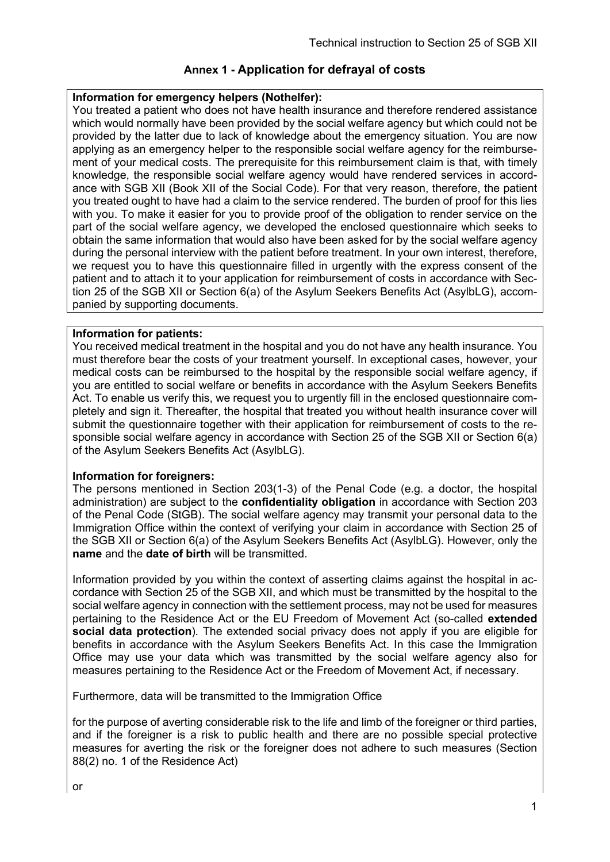### **Information for emergency helpers (Nothelfer):**

You treated a patient who does not have health insurance and therefore rendered assistance which would normally have been provided by the social welfare agency but which could not be provided by the latter due to lack of knowledge about the emergency situation. You are now applying as an emergency helper to the responsible social welfare agency for the reimbursement of your medical costs. The prerequisite for this reimbursement claim is that, with timely knowledge, the responsible social welfare agency would have rendered services in accordance with SGB XII (Book XII of the Social Code). For that very reason, therefore, the patient you treated ought to have had a claim to the service rendered. The burden of proof for this lies with you. To make it easier for you to provide proof of the obligation to render service on the part of the social welfare agency, we developed the enclosed questionnaire which seeks to obtain the same information that would also have been asked for by the social welfare agency during the personal interview with the patient before treatment. In your own interest, therefore, we request you to have this questionnaire filled in urgently with the express consent of the patient and to attach it to your application for reimbursement of costs in accordance with Section 25 of the SGB XII or Section 6(a) of the Asylum Seekers Benefits Act (AsylbLG), accompanied by supporting documents.

### **Information for patients:**

You received medical treatment in the hospital and you do not have any health insurance. You must therefore bear the costs of your treatment yourself. In exceptional cases, however, your medical costs can be reimbursed to the hospital by the responsible social welfare agency, if you are entitled to social welfare or benefits in accordance with the Asylum Seekers Benefits Act. To enable us verify this, we request you to urgently fill in the enclosed questionnaire completely and sign it. Thereafter, the hospital that treated you without health insurance cover will submit the questionnaire together with their application for reimbursement of costs to the responsible social welfare agency in accordance with Section 25 of the SGB XII or Section 6(a) of the Asylum Seekers Benefits Act (AsylbLG).

#### **Information for foreigners:**

The persons mentioned in Section 203(1-3) of the Penal Code (e.g. a doctor, the hospital administration) are subject to the **confidentiality obligation** in accordance with Section 203 of the Penal Code (StGB). The social welfare agency may transmit your personal data to the Immigration Office within the context of verifying your claim in accordance with Section 25 of the SGB XII or Section 6(a) of the Asylum Seekers Benefits Act (AsylbLG). However, only the **name** and the **date of birth** will be transmitted.

Information provided by you within the context of asserting claims against the hospital in accordance with Section 25 of the SGB XII, and which must be transmitted by the hospital to the social welfare agency in connection with the settlement process, may not be used for measures pertaining to the Residence Act or the EU Freedom of Movement Act (so-called **extended social data protection**). The extended social privacy does not apply if you are eligible for benefits in accordance with the Asylum Seekers Benefits Act. In this case the Immigration Office may use your data which was transmitted by the social welfare agency also for measures pertaining to the Residence Act or the Freedom of Movement Act, if necessary.

Furthermore, data will be transmitted to the Immigration Office

for the purpose of averting considerable risk to the life and limb of the foreigner or third parties, and if the foreigner is a risk to public health and there are no possible special protective measures for averting the risk or the foreigner does not adhere to such measures (Section 88(2) no. 1 of the Residence Act)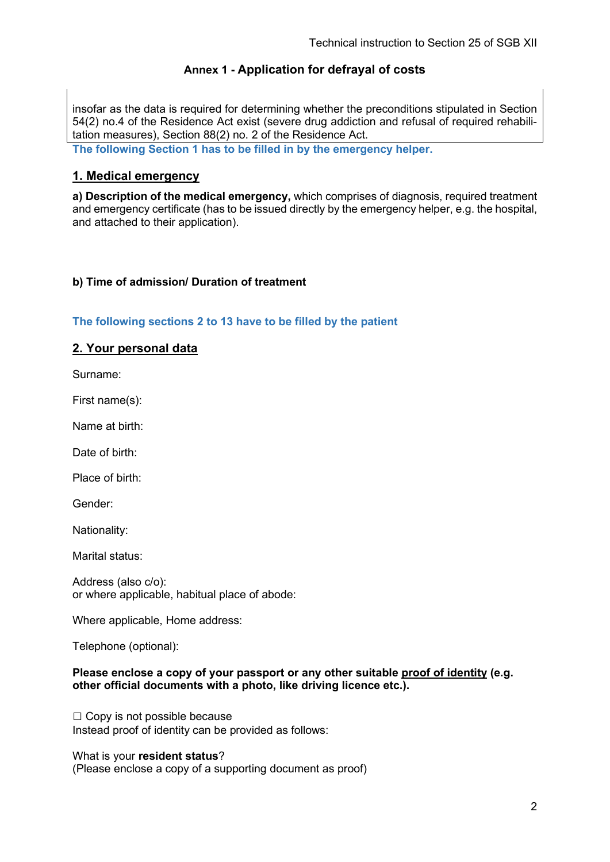insofar as the data is required for determining whether the preconditions stipulated in Section 54(2) no.4 of the Residence Act exist (severe drug addiction and refusal of required rehabilitation measures), Section 88(2) no. 2 of the Residence Act.

**The following Section 1 has to be filled in by the emergency helper.** 

## **1. Medical emergency**

**a) Description of the medical emergency,** which comprises of diagnosis, required treatment and emergency certificate (has to be issued directly by the emergency helper, e.g. the hospital, and attached to their application).

### **b) Time of admission/ Duration of treatment**

#### **The following sections 2 to 13 have to be filled by the patient**

### **2. Your personal data**

Surname:

First name(s):

Name at birth:

Date of birth:

Place of birth:

Gender:

Nationality:

Marital status:

Address (also c/o): or where applicable, habitual place of abode:

Where applicable, Home address:

Telephone (optional):

#### **Please enclose a copy of your passport or any other suitable proof of identity (e.g. other official documents with a photo, like driving licence etc.).**

 $\Box$  Copy is not possible because Instead proof of identity can be provided as follows:

What is your **resident status**? (Please enclose a copy of a supporting document as proof)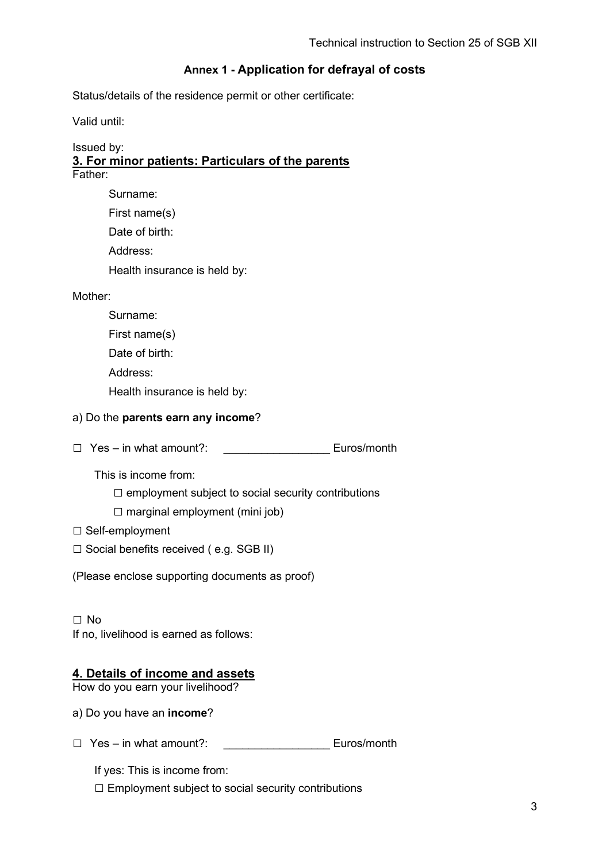Status/details of the residence permit or other certificate:

Valid until:

#### Issued by: **3. For minor patients: Particulars of the parents** Father:

| Surname:                     |
|------------------------------|
| First name(s)                |
| Date of birth:               |
| Address:                     |
| Health insurance is held by: |

### Mother:

| Surname:       |
|----------------|
| First name(s)  |
| Date of birth: |

Address:

Health insurance is held by:

### a) Do the **parents earn any income**?

□ Yes – in what amount?: Euros/month

This is income from:

 $\square$  employment subject to social security contributions

 $\square$  marginal employment (mini job)

□ Self-employment

 $\square$  Social benefits received ( e.g. SGB II)

(Please enclose supporting documents as proof)

□ No If no, livelihood is earned as follows:

## **4. Details of income and assets**

How do you earn your livelihood?

a) Do you have an **income**?

□ Yes – in what amount?: Euros/month

If yes: This is income from:

□ Employment subject to social security contributions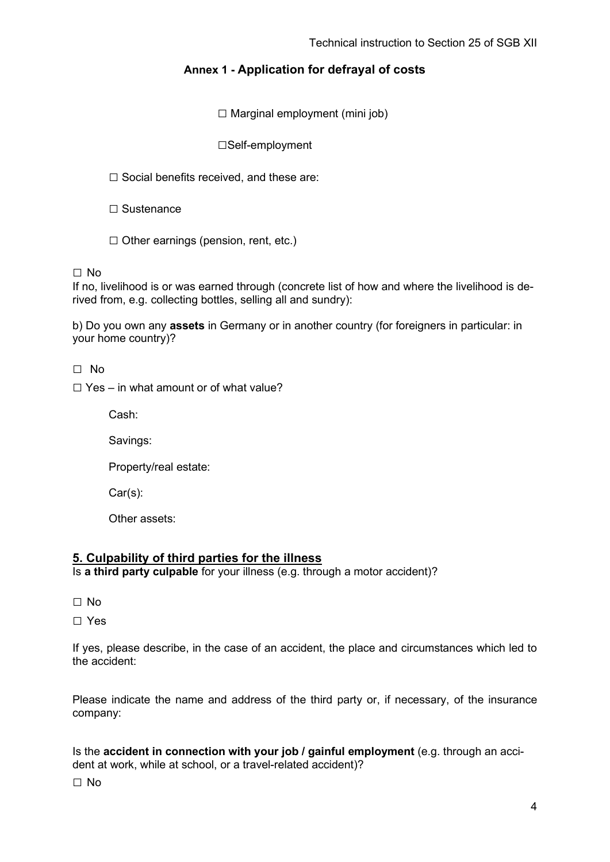$\square$  Marginal employment (mini job)

□Self-employment

 $\square$  Social benefits received, and these are:

□ Sustenance

 $\Box$  Other earnings (pension, rent, etc.)

□ No

If no, livelihood is or was earned through (concrete list of how and where the livelihood is derived from, e.g. collecting bottles, selling all and sundry):

b) Do you own any **assets** in Germany or in another country (for foreigners in particular: in your home country)?

□ No

 $\Box$  Yes – in what amount or of what value?

Cash:

Savings:

Property/real estate:

Car(s):

Other assets:

#### **5. Culpability of third parties for the illness**

Is **a third party culpable** for your illness (e.g. through a motor accident)?

□ No

□ Yes

If yes, please describe, in the case of an accident, the place and circumstances which led to the accident:

Please indicate the name and address of the third party or, if necessary, of the insurance company:

Is the **accident in connection with your job / gainful employment** (e.g. through an accident at work, while at school, or a travel-related accident)?

□ No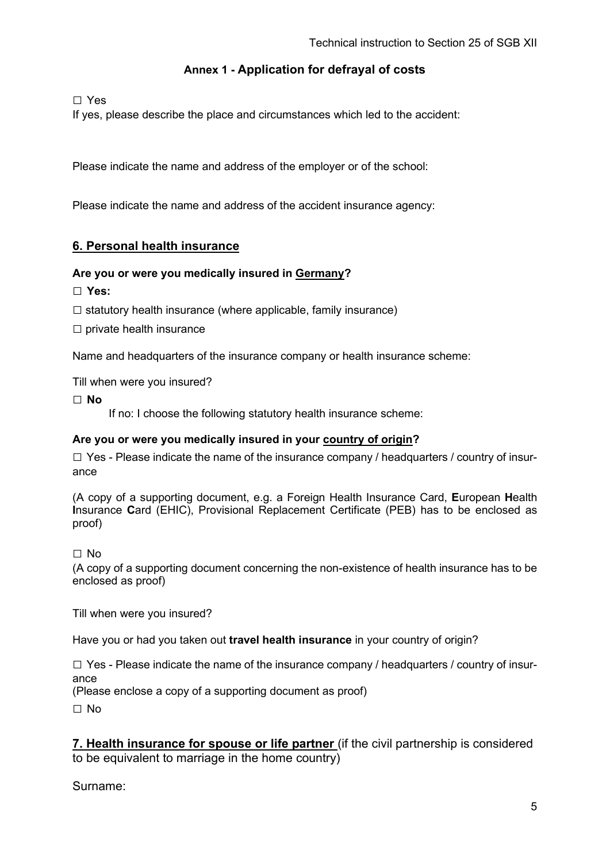□ Yes

If yes, please describe the place and circumstances which led to the accident:

Please indicate the name and address of the employer or of the school:

Please indicate the name and address of the accident insurance agency:

## **6. Personal health insurance**

#### **Are you or were you medically insured in Germany?**

**□ Yes:** 

- $\square$  statutory health insurance (where applicable, family insurance)
- $\square$  private health insurance

Name and headquarters of the insurance company or health insurance scheme:

Till when were you insured?

**□ No** 

If no: I choose the following statutory health insurance scheme:

#### **Are you or were you medically insured in your country of origin?**

 $\square$  Yes - Please indicate the name of the insurance company / headquarters / country of insurance

(A copy of a supporting document, e.g. a Foreign Health Insurance Card, **E**uropean **H**ealth **I**nsurance **C**ard (EHIC), Provisional Replacement Certificate (PEB) has to be enclosed as proof)

□ No

(A copy of a supporting document concerning the non-existence of health insurance has to be enclosed as proof)

Till when were you insured?

Have you or had you taken out **travel health insurance** in your country of origin?

 $\square$  Yes - Please indicate the name of the insurance company / headquarters / country of insurance

(Please enclose a copy of a supporting document as proof)

□ No

**7. Health insurance for spouse or life partner** (if the civil partnership is considered to be equivalent to marriage in the home country)

Surname: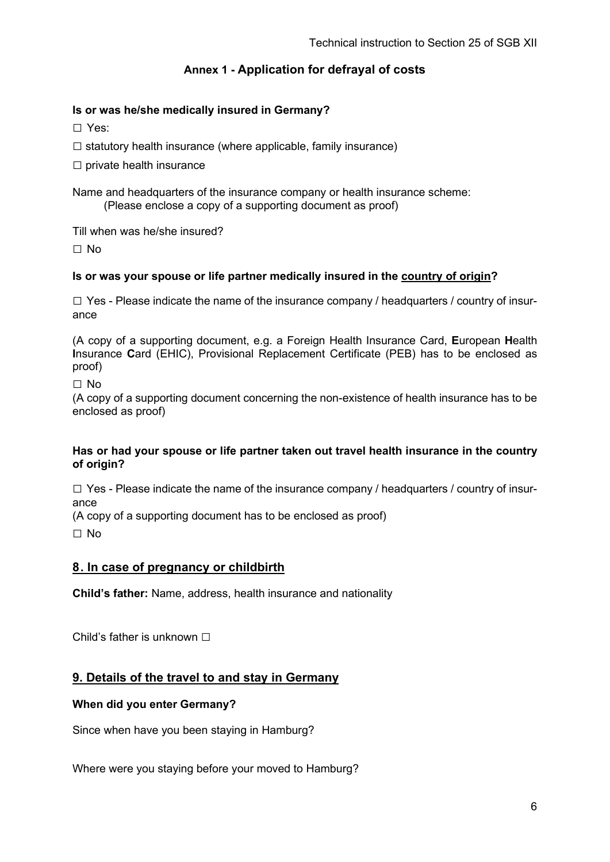### **Is or was he/she medically insured in Germany?**

□ Yes:

 $\square$  statutory health insurance (where applicable, family insurance)

 $\square$  private health insurance

Name and headquarters of the insurance company or health insurance scheme: (Please enclose a copy of a supporting document as proof)

Till when was he/she insured?

□ No

### **Is or was your spouse or life partner medically insured in the country of origin?**

 $\square$  Yes - Please indicate the name of the insurance company / headquarters / country of insurance

(A copy of a supporting document, e.g. a Foreign Health Insurance Card, **E**uropean **H**ealth **I**nsurance **C**ard (EHIC), Provisional Replacement Certificate (PEB) has to be enclosed as proof)

□ No

(A copy of a supporting document concerning the non-existence of health insurance has to be enclosed as proof)

#### **Has or had your spouse or life partner taken out travel health insurance in the country of origin?**

 $\square$  Yes - Please indicate the name of the insurance company / headquarters / country of insurance

(A copy of a supporting document has to be enclosed as proof)

□ No

### **8 . In case of pregnancy or childbirth**

**Child's father:** Name, address, health insurance and nationality

Child's father is unknown □

## **9. Details of the travel to and stay in Germany**

#### **When did you enter Germany?**

Since when have you been staying in Hamburg?

Where were you staying before your moved to Hamburg?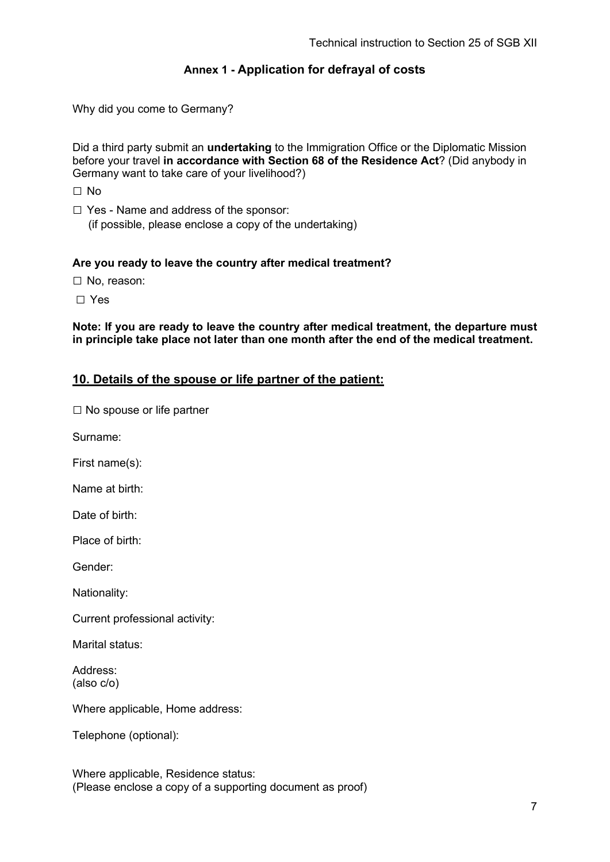Why did you come to Germany?

Did a third party submit an **undertaking** to the Immigration Office or the Diplomatic Mission before your travel **in accordance with Section 68 of the Residence Act**? (Did anybody in Germany want to take care of your livelihood?)

□ No

 $\Box$  Yes - Name and address of the sponsor: (if possible, please enclose a copy of the undertaking)

### **Are you ready to leave the country after medical treatment?**

□ No, reason:

□ Yes

**Note: If you are ready to leave the country after medical treatment, the departure must in principle take place not later than one month after the end of the medical treatment.**

### **10. Details of the spouse or life partner of the patient:**

 $\square$  No spouse or life partner

Surname:

First name(s):

Name at birth:

Date of birth:

Place of birth:

Gender:

Nationality:

Current professional activity:

Marital status:

Address: (also c/o)

Where applicable, Home address:

Telephone (optional):

Where applicable, Residence status: (Please enclose a copy of a supporting document as proof)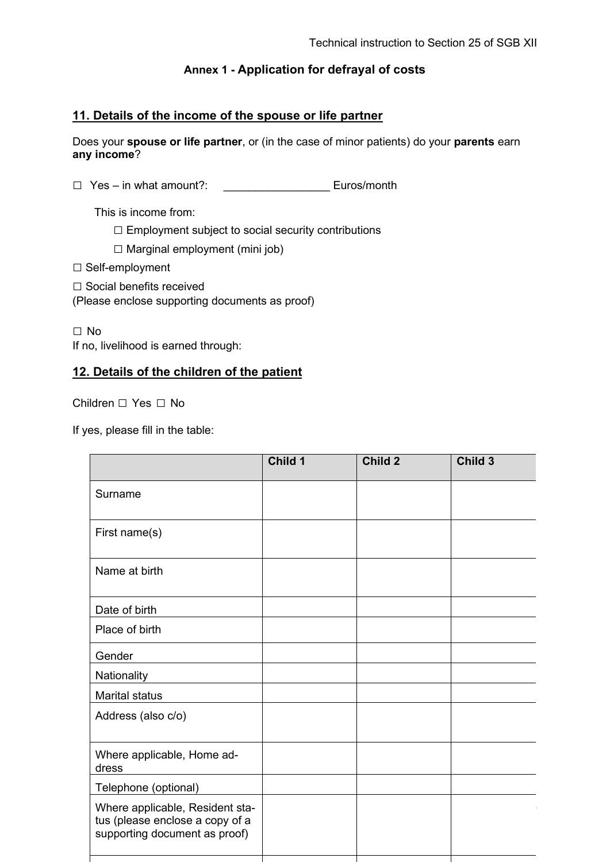## **11. Details of the income of the spouse or life partner**

Does your **spouse or life partner**, or (in the case of minor patients) do your **parents** earn **any income**?

□ Yes – in what amount?: Euros/month

This is income from:

 $\square$  Employment subject to social security contributions

 $\square$  Marginal employment (mini job)

□ Self-employment

□ Social benefits received

(Please enclose supporting documents as proof)

□ No

If no, livelihood is earned through:

## **12. Details of the children of the patient**

Children □ Yes □ No

If yes, please fill in the table:

|                                                                                                     | Child 1 | Child 2 | Child 3 |
|-----------------------------------------------------------------------------------------------------|---------|---------|---------|
| Surname                                                                                             |         |         |         |
| First name(s)                                                                                       |         |         |         |
| Name at birth                                                                                       |         |         |         |
| Date of birth                                                                                       |         |         |         |
| Place of birth                                                                                      |         |         |         |
| Gender                                                                                              |         |         |         |
| Nationality                                                                                         |         |         |         |
| <b>Marital status</b>                                                                               |         |         |         |
| Address (also c/o)                                                                                  |         |         |         |
| Where applicable, Home ad-<br>dress                                                                 |         |         |         |
| Telephone (optional)                                                                                |         |         |         |
| Where applicable, Resident sta-<br>tus (please enclose a copy of a<br>supporting document as proof) |         |         |         |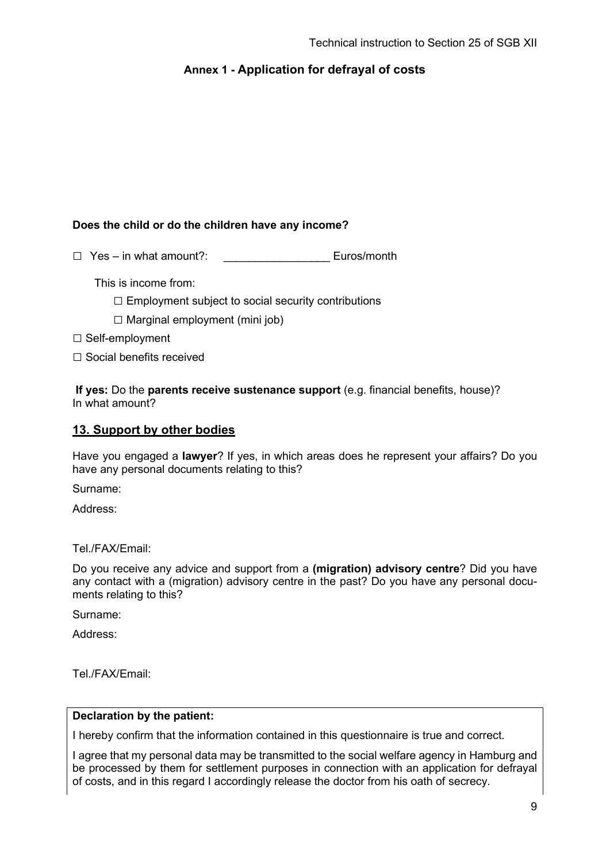### **Does the child or do the children have any income?**

□ Yes – in what amount?: \_\_\_\_\_\_\_\_\_\_\_\_\_\_\_\_\_ Euros/month

This is income from:

 $\square$  Employment subject to social security contributions

 $\square$  Marginal employment (mini job)

□ Self-employment

□ Social benefits received

**If yes:** Do the **parents receive sustenance support** (e.g. financial benefits, house)? In what amount?

### **13. Support by other bodies**

Have you engaged a **lawyer**? If yes, in which areas does he represent your affairs? Do you have any personal documents relating to this?

Surname:

Address:

Tel./FAX/Email:

Do you receive any advice and support from a **(migration) advisory centre**? Did you have any contact with a (migration) advisory centre in the past? Do you have any personal documents relating to this?

Surname:

Address:

Tel./FAX/Email:

#### **Declaration by the patient:**

I hereby confirm that the information contained in this questionnaire is true and correct.

I agree that my personal data may be transmitted to the social welfare agency in Hamburg and be processed by them for settlement purposes in connection with an application for defrayal of costs, and in this regard I accordingly release the doctor from his oath of secrecy.